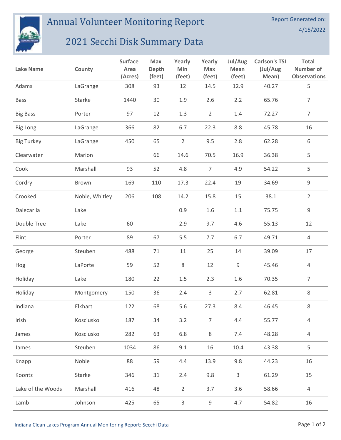

## Annual Volunteer Monitoring Report

## 2021 Secchi Disk Summary Data

| <b>Lake Name</b>  | County         | <b>Surface</b><br>Area<br>(Acres) | <b>Max</b><br>Depth<br>(feet) | Yearly<br>Min<br>(feet) | Yearly<br>Max<br>(feet) | Jul/Aug<br>Mean<br>(feet) | <b>Carlson's TSI</b><br>(Jul/Aug<br>Mean) | <b>Total</b><br><b>Number of</b><br><b>Observations</b> |
|-------------------|----------------|-----------------------------------|-------------------------------|-------------------------|-------------------------|---------------------------|-------------------------------------------|---------------------------------------------------------|
| Adams             | LaGrange       | 308                               | 93                            | 12                      | 14.5                    | 12.9                      | 40.27                                     | 5                                                       |
| <b>Bass</b>       | Starke         | 1440                              | 30                            | 1.9                     | 2.6                     | 2.2                       | 65.76                                     | $\overline{7}$                                          |
| <b>Big Bass</b>   | Porter         | 97                                | 12                            | 1.3                     | $\overline{2}$          | 1.4                       | 72.27                                     | $\overline{7}$                                          |
| <b>Big Long</b>   | LaGrange       | 366                               | 82                            | 6.7                     | 22.3                    | 8.8                       | 45.78                                     | 16                                                      |
| <b>Big Turkey</b> | LaGrange       | 450                               | 65                            | $\overline{2}$          | 9.5                     | 2.8                       | 62.28                                     | 6                                                       |
| Clearwater        | Marion         |                                   | 66                            | 14.6                    | 70.5                    | 16.9                      | 36.38                                     | 5                                                       |
| Cook              | Marshall       | 93                                | 52                            | 4.8                     | $\overline{7}$          | 4.9                       | 54.22                                     | 5                                                       |
| Cordry            | Brown          | 169                               | 110                           | 17.3                    | 22.4                    | 19                        | 34.69                                     | $\mathsf 9$                                             |
| Crooked           | Noble, Whitley | 206                               | 108                           | 14.2                    | 15.8                    | 15                        | 38.1                                      | $\overline{2}$                                          |
| Dalecarlia        | Lake           |                                   |                               | 0.9                     | 1.6                     | $1.1\,$                   | 75.75                                     | $\mathsf 9$                                             |
| Double Tree       | Lake           | 60                                |                               | 2.9                     | 9.7                     | 4.6                       | 55.13                                     | 12                                                      |
| Flint             | Porter         | 89                                | 67                            | 5.5                     | 7.7                     | 6.7                       | 49.71                                     | 4                                                       |
| George            | Steuben        | 488                               | 71                            | 11                      | 25                      | 14                        | 39.09                                     | 17                                                      |
| Hog               | LaPorte        | 59                                | 52                            | 8                       | 12                      | 9                         | 45.46                                     | 4                                                       |
| Holiday           | Lake           | 180                               | 22                            | $1.5\,$                 | 2.3                     | 1.6                       | 70.35                                     | $\overline{7}$                                          |
| Holiday           | Montgomery     | 150                               | 36                            | 2.4                     | 3                       | 2.7                       | 62.81                                     | 8                                                       |
| Indiana           | Elkhart        | 122                               | 68                            | 5.6                     | 27.3                    | 8.4                       | 46.45                                     | 8                                                       |
| Irish             | Kosciusko      | 187                               | 34                            | 3.2                     | $\overline{7}$          | 4.4                       | 55.77                                     | $\sqrt{4}$                                              |
| James             | Kosciusko      | 282                               | 63                            | 6.8                     | $\,8\,$                 | 7.4                       | 48.28                                     | $\overline{4}$                                          |
| James             | Steuben        | 1034                              | 86                            | 9.1                     | 16                      | 10.4                      | 43.38                                     | 5                                                       |
| Knapp             | Noble          | 88                                | 59                            | 4.4                     | 13.9                    | 9.8                       | 44.23                                     | 16                                                      |
| Koontz            | Starke         | 346                               | 31                            | 2.4                     | 9.8                     | $\mathsf{3}$              | 61.29                                     | 15                                                      |
| Lake of the Woods | Marshall       | 416                               | 48                            | $\overline{2}$          | 3.7                     | 3.6                       | 58.66                                     | 4                                                       |
| Lamb              | Johnson        | 425                               | 65                            | 3                       | 9                       | 4.7                       | 54.82                                     | 16                                                      |